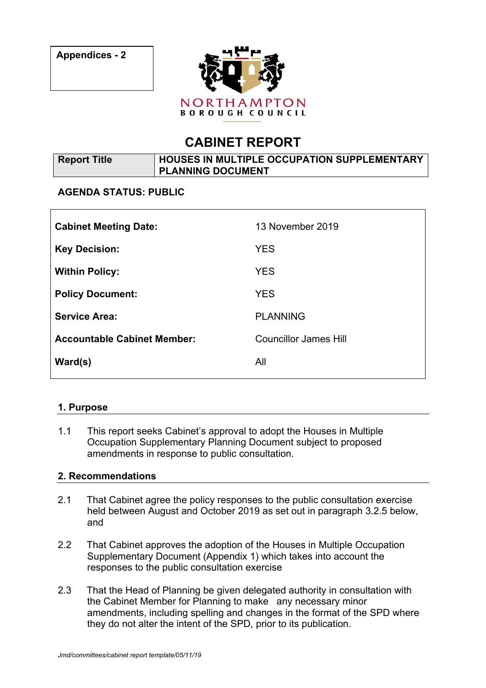

# **CABINET REPORT**

| Report Title | HOUSES IN MULTIPLE OCCUPATION SUPPLEMENTARY |  |
|--------------|---------------------------------------------|--|
|              | <b>PLANNING DOCUMENT</b>                    |  |

## **AGENDA STATUS: PUBLIC**

| <b>Cabinet Meeting Date:</b>       | 13 November 2019             |
|------------------------------------|------------------------------|
| <b>Key Decision:</b>               | <b>YES</b>                   |
| <b>Within Policy:</b>              | <b>YES</b>                   |
| <b>Policy Document:</b>            | <b>YES</b>                   |
| <b>Service Area:</b>               | <b>PLANNING</b>              |
| <b>Accountable Cabinet Member:</b> | <b>Councillor James Hill</b> |
| $\text{Ward}(s)$                   | All                          |

## **1. Purpose**

1.1 This report seeks Cabinet's approval to adopt the Houses in Multiple Occupation Supplementary Planning Document subject to proposed amendments in response to public consultation.

## **2. Recommendations**

- 2.1 That Cabinet agree the policy responses to the public consultation exercise held between August and October 2019 as set out in paragraph 3.2.5 below, and
- 2.2 That Cabinet approves the adoption of the Houses in Multiple Occupation Supplementary Document (Appendix 1) which takes into account the responses to the public consultation exercise
- 2.3 That the Head of Planning be given delegated authority in consultation with the Cabinet Member for Planning to make any necessary minor amendments, including spelling and changes in the format of the SPD where they do not alter the intent of the SPD, prior to its publication.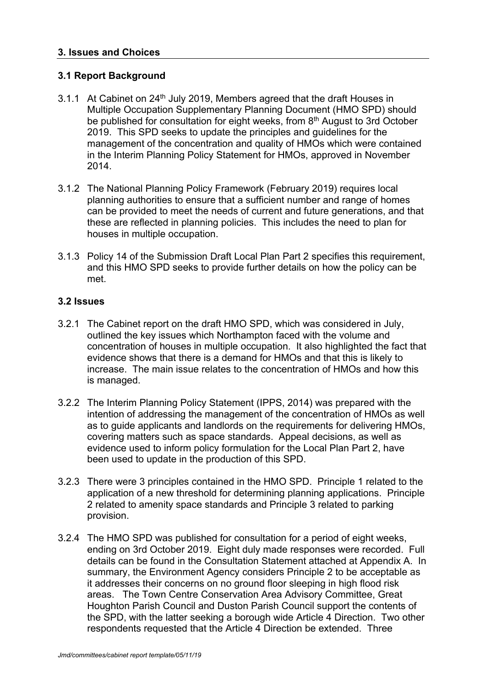## **3. Issues and Choices**

## **3.1 Report Background**

- 3.1.1 At Cabinet on 24<sup>th</sup> July 2019, Members agreed that the draft Houses in Multiple Occupation Supplementary Planning Document (HMO SPD) should be published for consultation for eight weeks, from 8<sup>th</sup> August to 3rd October 2019. This SPD seeks to update the principles and guidelines for the management of the concentration and quality of HMOs which were contained in the Interim Planning Policy Statement for HMOs, approved in November 2014.
- 3.1.2 The National Planning Policy Framework (February 2019) requires local planning authorities to ensure that a sufficient number and range of homes can be provided to meet the needs of current and future generations, and that these are reflected in planning policies. This includes the need to plan for houses in multiple occupation.
- 3.1.3 Policy 14 of the Submission Draft Local Plan Part 2 specifies this requirement, and this HMO SPD seeks to provide further details on how the policy can be met.

#### **3.2 Issues**

- 3.2.1 The Cabinet report on the draft HMO SPD, which was considered in July, outlined the key issues which Northampton faced with the volume and concentration of houses in multiple occupation. It also highlighted the fact that evidence shows that there is a demand for HMOs and that this is likely to increase. The main issue relates to the concentration of HMOs and how this is managed.
- 3.2.2 The Interim Planning Policy Statement (IPPS, 2014) was prepared with the intention of addressing the management of the concentration of HMOs as well as to guide applicants and landlords on the requirements for delivering HMOs, covering matters such as space standards. Appeal decisions, as well as evidence used to inform policy formulation for the Local Plan Part 2, have been used to update in the production of this SPD.
- 3.2.3 There were 3 principles contained in the HMO SPD. Principle 1 related to the application of a new threshold for determining planning applications. Principle 2 related to amenity space standards and Principle 3 related to parking provision.
- 3.2.4 The HMO SPD was published for consultation for a period of eight weeks, ending on 3rd October 2019. Eight duly made responses were recorded. Full details can be found in the Consultation Statement attached at Appendix A. In summary, the Environment Agency considers Principle 2 to be acceptable as it addresses their concerns on no ground floor sleeping in high flood risk areas. The Town Centre Conservation Area Advisory Committee, Great Houghton Parish Council and Duston Parish Council support the contents of the SPD, with the latter seeking a borough wide Article 4 Direction. Two other respondents requested that the Article 4 Direction be extended. Three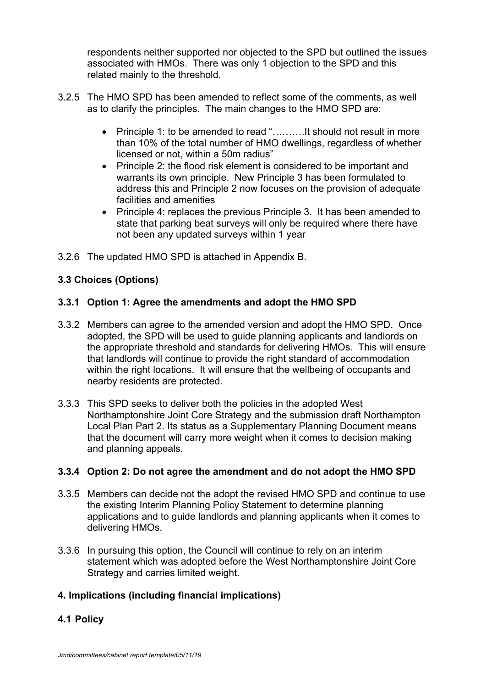respondents neither supported nor objected to the SPD but outlined the issues associated with HMOs. There was only 1 objection to the SPD and this related mainly to the threshold.

- 3.2.5 The HMO SPD has been amended to reflect some of the comments, as well as to clarify the principles. The main changes to the HMO SPD are:
	- Principle 1: to be amended to read "……….It should not result in more than 10% of the total number of HMO dwellings, regardless of whether licensed or not, within a 50m radius"
	- Principle 2: the flood risk element is considered to be important and warrants its own principle. New Principle 3 has been formulated to address this and Principle 2 now focuses on the provision of adequate facilities and amenities
	- Principle 4: replaces the previous Principle 3. It has been amended to state that parking beat surveys will only be required where there have not been any updated surveys within 1 year
- 3.2.6 The updated HMO SPD is attached in Appendix B.

# **3.3 Choices (Options)**

## **3.3.1 Option 1: Agree the amendments and adopt the HMO SPD**

- 3.3.2 Members can agree to the amended version and adopt the HMO SPD. Once adopted, the SPD will be used to guide planning applicants and landlords on the appropriate threshold and standards for delivering HMOs. This will ensure that landlords will continue to provide the right standard of accommodation within the right locations. It will ensure that the wellbeing of occupants and nearby residents are protected.
- 3.3.3 This SPD seeks to deliver both the policies in the adopted West Northamptonshire Joint Core Strategy and the submission draft Northampton Local Plan Part 2. Its status as a Supplementary Planning Document means that the document will carry more weight when it comes to decision making and planning appeals.

## **3.3.4 Option 2: Do not agree the amendment and do not adopt the HMO SPD**

- 3.3.5 Members can decide not the adopt the revised HMO SPD and continue to use the existing Interim Planning Policy Statement to determine planning applications and to guide landlords and planning applicants when it comes to delivering HMOs.
- 3.3.6 In pursuing this option, the Council will continue to rely on an interim statement which was adopted before the West Northamptonshire Joint Core Strategy and carries limited weight.

# **4. Implications (including financial implications)**

# **4.1 Policy**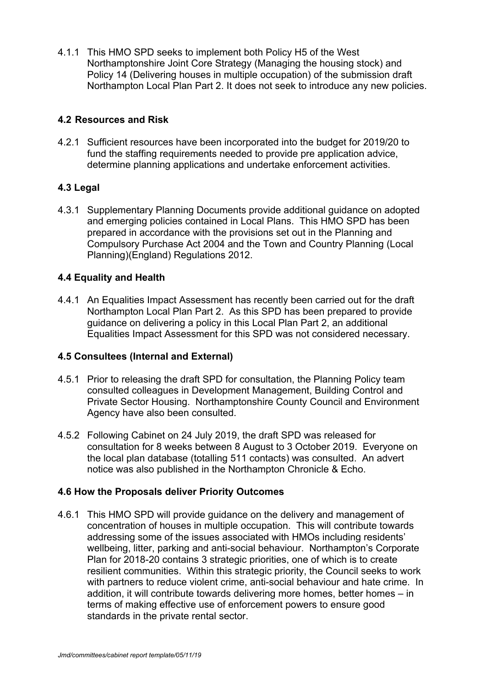4.1.1 This HMO SPD seeks to implement both Policy H5 of the West Northamptonshire Joint Core Strategy (Managing the housing stock) and Policy 14 (Delivering houses in multiple occupation) of the submission draft Northampton Local Plan Part 2. It does not seek to introduce any new policies.

# **4.2 Resources and Risk**

4.2.1 Sufficient resources have been incorporated into the budget for 2019/20 to fund the staffing requirements needed to provide pre application advice, determine planning applications and undertake enforcement activities.

# **4.3 Legal**

4.3.1 Supplementary Planning Documents provide additional guidance on adopted and emerging policies contained in Local Plans. This HMO SPD has been prepared in accordance with the provisions set out in the Planning and Compulsory Purchase Act 2004 and the Town and Country Planning (Local Planning)(England) Regulations 2012.

# **4.4 Equality and Health**

4.4.1 An Equalities Impact Assessment has recently been carried out for the draft Northampton Local Plan Part 2. As this SPD has been prepared to provide guidance on delivering a policy in this Local Plan Part 2, an additional Equalities Impact Assessment for this SPD was not considered necessary.

## **4.5 Consultees (Internal and External)**

- 4.5.1 Prior to releasing the draft SPD for consultation, the Planning Policy team consulted colleagues in Development Management, Building Control and Private Sector Housing. Northamptonshire County Council and Environment Agency have also been consulted.
- 4.5.2 Following Cabinet on 24 July 2019, the draft SPD was released for consultation for 8 weeks between 8 August to 3 October 2019. Everyone on the local plan database (totalling 511 contacts) was consulted. An advert notice was also published in the Northampton Chronicle & Echo.

## **4.6 How the Proposals deliver Priority Outcomes**

4.6.1 This HMO SPD will provide guidance on the delivery and management of concentration of houses in multiple occupation. This will contribute towards addressing some of the issues associated with HMOs including residents' wellbeing, litter, parking and anti-social behaviour. Northampton's Corporate Plan for 2018-20 contains 3 strategic priorities, one of which is to create resilient communities. Within this strategic priority, the Council seeks to work with partners to reduce violent crime, anti-social behaviour and hate crime. In addition, it will contribute towards delivering more homes, better homes – in terms of making effective use of enforcement powers to ensure good standards in the private rental sector.